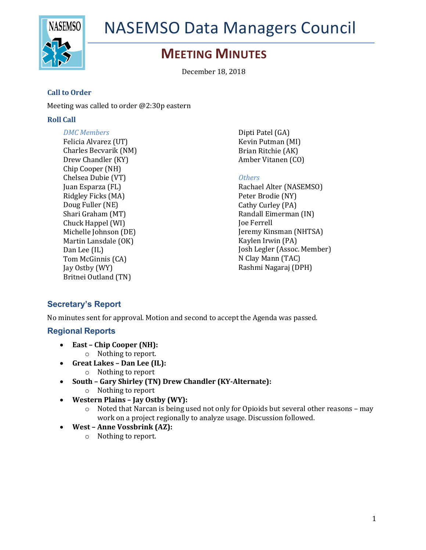

# NASEMSO Data Managers Council

# **MEETING MINUTES**

December 18, 2018

#### **Call to Order**

Meeting was called to order  $@2:30p$  eastern

#### **Roll Call**

*DMC Members* Felicia Alvarez (UT) Charles Becvarik (NM) Drew Chandler (KY) Chip Cooper (NH) Chelsea Dubie (VT) Juan Esparza (FL) Ridgley Ficks (MA) Doug Fuller (NE) Shari Graham (MT) Chuck Happel (WI) Michelle Johnson (DE) Martin Lansdale (OK) Dan Lee (IL) Tom McGinnis (CA) Jay Ostby (WY) Britnei Outland (TN)

Dipti Patel (GA) Kevin Putman (MI) Brian Ritchie (AK) Amber Vitanen (CO)

#### *Others*

Rachael Alter (NASEMSO) Peter Brodie (NY) Cathy Curley (PA) Randall Eimerman (IN) Joe Ferrell Jeremy Kinsman (NHTSA) Kaylen Irwin (PA) Josh Legler (Assoc. Member) N Clay Mann (TAC) Rashmi Nagaraj (DPH)

# **Secretary's Report**

No minutes sent for approval. Motion and second to accept the Agenda was passed.

### **Regional Reports**

- East Chip Cooper (NH):
	- o Nothing to report.
- **Great Lakes – Dan Lee (IL):**
	- $\circ$  Nothing to report
- **South – Gary Shirley (TN) Drew Chandler (KY-Alternate):**
	- $\circ$  Nothing to report
- **Western Plains – Jay Ostby (WY):**
	- o Noted that Narcan is being used not only for Opioids but several other reasons may work on a project regionally to analyze usage. Discussion followed.
- West Anne Vossbrink (AZ):
	- $\circ$  Nothing to report.